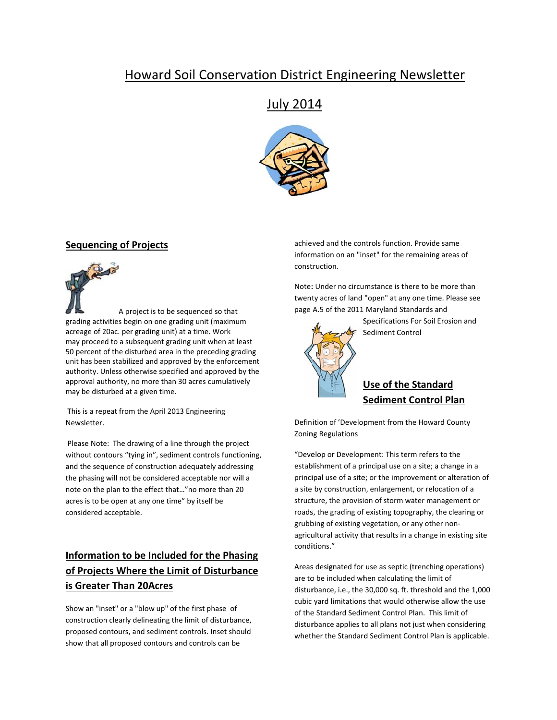# **Howard Soil Conservation District Engineering Newsletter**

# July 2014



### **Sequencing of Projects**

A project is to be sequenced so that grading activities begin on one grading unit (maximum acreage of 20ac. per grading unit) at a time. Work may proceed to a subsequent grading unit when at least 50 percent of the disturbed area in the preceding grading unit has been stabilized and approved by the enforcement authority. Unless otherwise specified and approved by the approval authority, no more than 30 acres cumulatively may be disturbed at a given time.

This is a repeat from the April 2013 Engineering Newsletter.

Please Note: The drawing of a line through the project without contours "tying in", sediment controls functioning, and the sequence of construction adequately addressing the phasing will not be considered acceptable nor will a note on the plan to the effect that..."no more than 20 acres is to be open at any one time" by itself be considered acceptable.

# Information to be Included for the Phasing of Projects Where the Limit of Disturbance is Greater Than 20Acres

Show an "inset" or a "blow up" of the first phase of construction clearly delineating the limit of disturbance, proposed contours, and sediment controls. Inset should show that all proposed contours and controls can be

achieved and the controls function. Provide same information on an "inset" for the remaining areas of construction.

Note: Under no circumstance is there to be more than twenty acres of land "open" at any one time. Please see page A.5 of the 2011 Maryland Standards and



Specifications For Soil Erosion and Sediment Control

## **Use of the Standard Sediment Control Plan**

Definition of 'Development from the Howard County **Zoning Regulations** 

"Develop or Development: This term refers to the establishment of a principal use on a site; a change in a principal use of a site; or the improvement or alteration of a site by construction, enlargement, or relocation of a structure, the provision of storm water management or roads, the grading of existing topography, the clearing or grubbing of existing vegetation, or any other nonagricultural activity that results in a change in existing site conditions."

Areas designated for use as septic (trenching operations) are to be included when calculating the limit of disturbance, i.e., the 30,000 sq. ft. threshold and the 1,000 cubic yard limitations that would otherwise allow the use of the Standard Sediment Control Plan. This limit of disturbance applies to all plans not just when considering whether the Standard Sediment Control Plan is applicable.